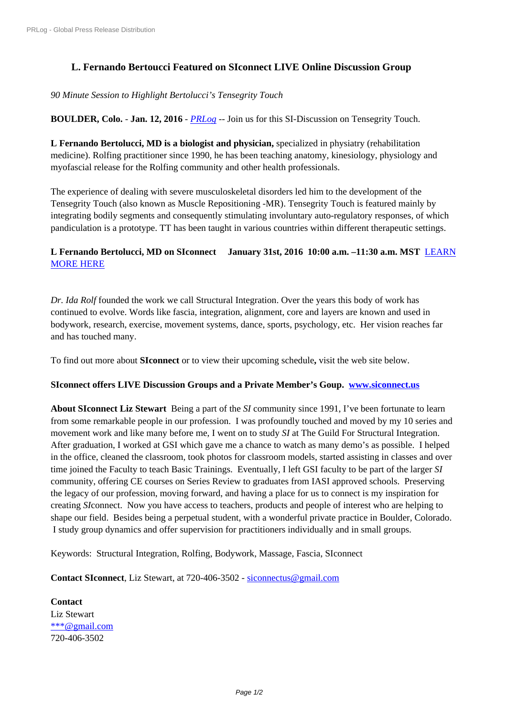## **[L. Fernando Bertou](https://www.prlog.org/)cci Featured on SIconnect LIVE Online Discussion Group**

*90 Minute Session to Highlight Bertolucci's Tensegrity Touch*

**BOULDER, Colo.** - **Jan. 12, 2016** - *PRLog* -- Join us for this SI-Discussion on Tensegrity Touch.

**L Fernando Bertolucci, MD is a biologist and physician,** specialized in physiatry (rehabilitation medicine). Rolfing practitioner since 1990, he has been teaching anatomy, kinesiology, physiology and myofascial release for the Rolfing co[mmunit](https://www.prlog.org)y and other health professionals.

The experience of dealing with severe musculoskeletal disorders led him to the development of the Tensegrity Touch (also known as Muscle Repositioning -MR). Tensegrity Touch is featured mainly by integrating bodily segments and consequently stimulating involuntary auto-regulatory responses, of which pandiculation is a prototype. TT has been taught in various countries within different therapeutic settings.

## **L Fernando Bertolucci, MD on SIconnect January 31st, 2016 10:00 a.m. –11:30 a.m. MST** LEARN MORE HERE

*Dr. Ida Rolf* founded the work we call Structural Integration. Over the years this body of work has [continued to ev](https://www.eventbrite.com/e/si-discussion-group-with-l-fernando-bertolucci-md-tickets-19917453640?aff=sim)olve. Words like fascia, integration, alignment, core and layers are known and used in bodywork, research, exercise, movement systems, dance, sports, psychology, etc. Her vision reaches far and has touched many.

To find out more about **SIconnect** or to view their upcoming schedule**,** visit the web site below.

## **SIconnect offers LIVE Discussion Groups and a Private Member's Goup. www.siconnect.us**

**About SIconnect Liz Stewart** Being a part of the *SI* community since 1991, I've been fortunate to learn from some remarkable people in our profession. I was profoundly touched and moved by my 10 series and movement work and like many before me, I went on to study *SI* at The Guild F[or Structural Integra](http://www.siconnect.us)tion. After graduation, I worked at GSI which gave me a chance to watch as many demo's as possible. I helped in the office, cleaned the classroom, took photos for classroom models, started assisting in classes and over time joined the Faculty to teach Basic Trainings. Eventually, I left GSI faculty to be part of the larger *SI* community, offering CE courses on Series Review to graduates from IASI approved schools. Preserving the legacy of our profession, moving forward, and having a place for us to connect is my inspiration for creating *SI*connect. Now you have access to teachers, products and people of interest who are helping to shape our field. Besides being a perpetual student, with a wonderful private practice in Boulder, Colorado. I study group dynamics and offer supervision for practitioners individually and in small groups.

Keywords: Structural Integration, Rolfing, Bodywork, Massage, Fascia, SIconnect

**Contact SIconnect**, Liz Stewart, at 720-406-3502 - siconnectus@gmail.com

**Contact** Liz Stewart \*\*\*@gmail.com 720-406-3502